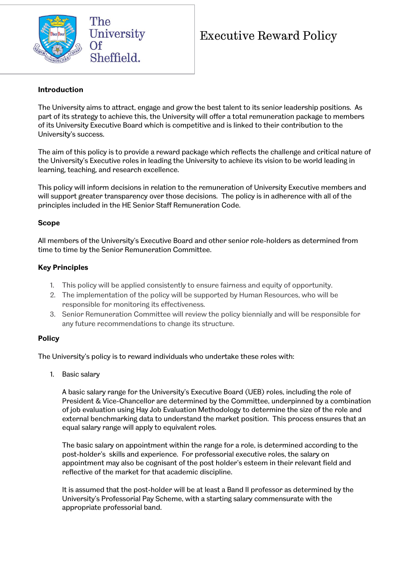

# Executive Reward Policy

#### **Introduction**

The University aims to attract, engage and grow the best talent to its senior leadership positions. As part of its strategy to achieve this, the University will offer a total remuneration package to members of its University Executive Board which is competitive and is linked to their contribution to the University's success.

The aim of this policy is to provide a reward package which reflects the challenge and critical nature of the University's Executive roles in leading the University to achieve its vision to be world leading in learning, teaching, and research excellence.

This policy will inform decisions in relation to the remuneration of University Executive members and will support greater transparency over those decisions. The policy is in adherence with all of the principles included in the HE Senior Staff Remuneration Code.

### **Scope**

All members of the University's Executive Board and other senior role-holders as determined from time to time by the Senior Remuneration Committee.

### **Key Principles**

- 1. This policy will be applied consistently to ensure fairness and equity of opportunity.
- 2. The implementation of the policy will be supported by Human Resources, who will be responsible for monitoring its effectiveness.
- 3. Senior Remuneration Committee will review the policy biennially and will be responsible for any future recommendations to change its structure.

## **Policy**

The University's policy is to reward individuals who undertake these roles with:

1. Basic salary

A basic salary range for the University's Executive Board (UEB) roles, including the role of President & Vice-Chancellor are determined by the Committee, underpinned by a combination of job evaluation using Hay Job Evaluation Methodology to determine the size of the role and external benchmarking data to understand the market position. This process ensures that an equal salary range will apply to equivalent roles.

The basic salary on appointment within the range for a role, is determined according to the post-holder's skills and experience. For professorial executive roles, the salary on appointment may also be cognisant of the post holder's esteem in their relevant field and reflective of the market for that academic discipline.

It is assumed that the post-holder will be at least a Band II professor as determined by the University's Professorial Pay Scheme, with a starting salary commensurate with the appropriate professorial band.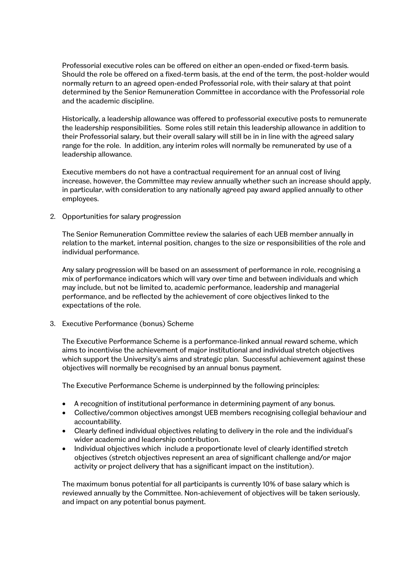Professorial executive roles can be offered on either an open-ended or fixed-term basis. Should the role be offered on a fixed-term basis, at the end of the term, the post-holder would normally return to an agreed open-ended Professorial role, with their salary at that point determined by the Senior Remuneration Committee in accordance with the Professorial role and the academic discipline.

Historically, a leadership allowance was offered to professorial executive posts to remunerate the leadership responsibilities. Some roles still retain this leadership allowance in addition to their Professorial salary, but their overall salary will still be in in line with the agreed salary range for the role. In addition, any interim roles will normally be remunerated by use of a leadership allowance.

Executive members do not have a contractual requirement for an annual cost of living increase, however, the Committee may review annually whether such an increase should apply, in particular, with consideration to any nationally agreed pay award applied annually to other employees.

2. Opportunities for salary progression

The Senior Remuneration Committee review the salaries of each UEB member annually in relation to the market, internal position, changes to the size or responsibilities of the role and individual performance.

Any salary progression will be based on an assessment of performance in role, recognising a mix of performance indicators which will vary over time and between individuals and which may include, but not be limited to, academic performance, leadership and managerial performance, and be reflected by the achievement of core objectives linked to the expectations of the role.

3. Executive Performance (bonus) Scheme

The Executive Performance Scheme is a performance-linked annual reward scheme, which aims to incentivise the achievement of major institutional and individual stretch objectives which support the University's aims and strategic plan. Successful achievement against these objectives will normally be recognised by an annual bonus payment.

The Executive Performance Scheme is underpinned by the following principles:

- A recognition of institutional performance in determining payment of any bonus.
- Collective/common objectives amongst UEB members recognising collegial behaviour and accountability.
- Clearly defined individual objectives relating to delivery in the role and the individual's wider academic and leadership contribution.
- Individual objectives which include a proportionate level of clearly identified stretch objectives (stretch objectives represent an area of significant challenge and/or major activity or project delivery that has a significant impact on the institution).

The maximum bonus potential for all participants is currently 10% of base salary which is reviewed annually by the Committee. Non-achievement of objectives will be taken seriously, and impact on any potential bonus payment.